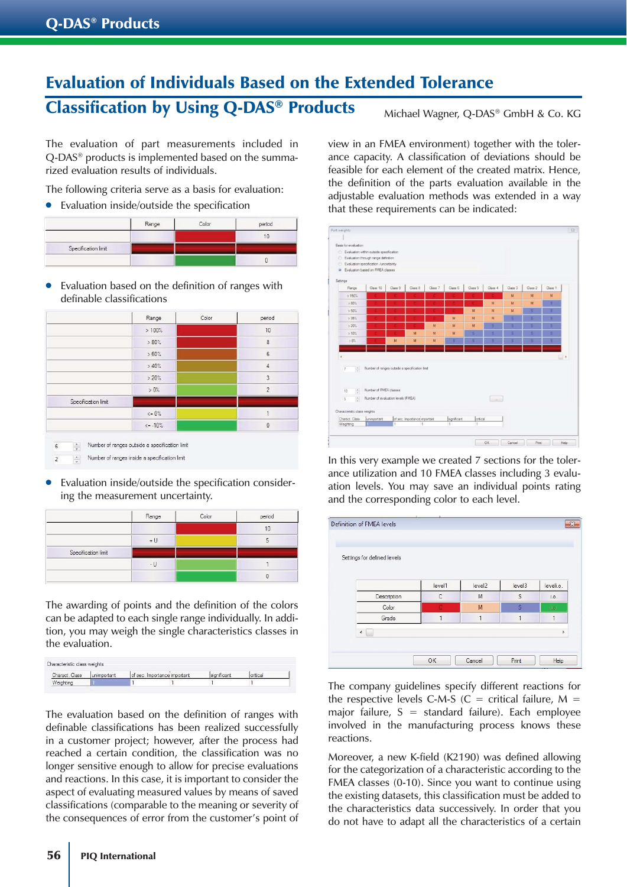## Evaluation of Individuals Based on the Extended Tolerance Classification by Using Q-DAS<sup>®</sup> Products Michael Wagner, Q-DAS® GmbH & Co. KG

The evaluation of part measurements included in Q-DAS® products is implemented based on the summarized evaluation results of individuals.

The following criteria serve as a basis for evaluation:

● Evaluation inside/outside the specification

|                     | Range | Color | period |
|---------------------|-------|-------|--------|
|                     |       |       |        |
| Specification limit |       |       |        |
|                     |       |       |        |

● Evaluation based on the definition of ranges with definable classifications

|                     | Range        | Color | period         |
|---------------------|--------------|-------|----------------|
|                     | >100%        |       | 10             |
|                     | $>80\%$      |       | $\overline{8}$ |
|                     | $>60\%$      |       | $6\phantom{.}$ |
|                     | >40%         |       | $\overline{4}$ |
|                     | >20%         |       | 3              |
|                     | $>0\%$       |       | $\overline{2}$ |
| Specification limit |              |       |                |
|                     | $\leq 0\%$   |       | 1              |
|                     | $\leq -10\%$ |       | $\theta$       |

Evaluation inside/outside the specification considering the measurement uncertainty.

|                     | Range | Color | period |
|---------------------|-------|-------|--------|
|                     |       |       | 10     |
|                     | $+U$  |       |        |
| Specification limit |       |       |        |
|                     | $-11$ |       |        |
|                     |       |       |        |

The awarding of points and the definition of the colors can be adapted to each single range individually. In addition, you may weigh the single characteristics classes in the evaluation.

| Charact, Class | lunimportant | of sec. Importance important | significant |  |
|----------------|--------------|------------------------------|-------------|--|
| Veighting      |              |                              |             |  |

The evaluation based on the definition of ranges with definable classifications has been realized successfully in a customer project; however, after the process had reached a certain condition, the classification was no longer sensitive enough to allow for precise evaluations and reactions. In this case, it is important to consider the aspect of evaluating measured values by means of saved classifications (comparable to the meaning or severity of the consequences of error from the customer's point of

view in an FMEA environment) together with the tolerance capacity. A classification of deviations should be feasible for each element of the created matrix. Hence, the definition of the parts evaluation available in the adjustable evaluation methods was extended in a way that these requirements can be indicated:



In this very example we created 7 sections for the tolerance utilization and 10 FMEA classes including 3 evaluation levels. You may save an individual points rating and the corresponding color to each level.



The company guidelines specify different reactions for the respective levels C-M-S ( $C =$  critical failure,  $M =$ major failure,  $S =$  standard failure). Each employee involved in the manufacturing process knows these reactions.

Moreover, a new K-field (K2190) was defined allowing for the categorization of a characteristic according to the FMEA classes (0-10). Since you want to continue using the existing datasets, this classification must be added to the characteristics data successively. In order that you do not have to adapt all the characteristics of a certain